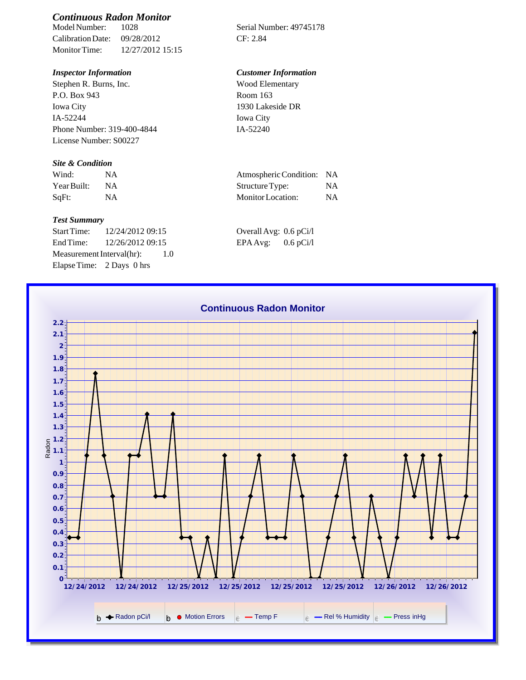# *Continuous Radon Monitor*

Calibration Date: 09/28/2012 CF: 2.84 Monitor Time: 12/27/2012 15:15

Stephen R. Burns, Inc. P.O. Box 943 Iowa City IA-52244 Phone Number: 319-400-4844 License Number: S00227

### *Site & Condition*

| Wind:       |    | Atmospheric Condition: NA |           |
|-------------|----|---------------------------|-----------|
| Year Built: | ΝA | Structure Type:           | NA        |
| SqFt:       |    | Monitor Location:         | <b>NA</b> |

#### *Test Summary*

Start Time: 12/24/2012 09:15 End Time:  $12/26/201209:15$ Measurement Interval(hr): 1.0 Elapse Time: 2 Days 0 hrs

Serial Number: 49745178

## *Inspector Information Customer Information*

| Wood Elementary  |  |
|------------------|--|
| Room 163         |  |
| 1930 Lakeside DR |  |
| Iowa City        |  |
| IA-52240         |  |

| Atmospheric Condition: NA |    |
|---------------------------|----|
| Structure Type:           | NA |
| Monitor Location:         | NA |

| Overall Avg: 0.6 pCi/l |             |
|------------------------|-------------|
| EPA Avg:               | $0.6$ pCi/l |

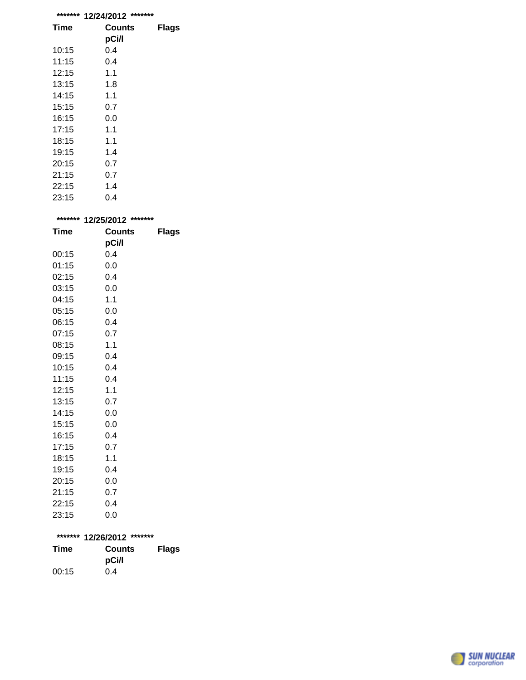| ******* | *******<br>12/24/2012 |       |
|---------|-----------------------|-------|
| Time    | Counts                | Flags |
|         | pCi/l                 |       |
| 10:15   | 0.4                   |       |
| 11:15   | 0.4                   |       |
| 12:15   | 1.1                   |       |
| 13:15   | 1.8                   |       |
| 14:15   | 1.1                   |       |
| 15:15   | 0.7                   |       |
| 16:15   | 0.0                   |       |
| 17:15   | 1.1                   |       |
| 18:15   | 1.1                   |       |
| 19:15   | 1.4                   |       |
| 20:15   | 0.7                   |       |
| 21:15   | 0.7                   |       |
| 22:15   | 1.4                   |       |
| 23:15   | 0.4                   |       |

|             | ******* 12/25/2012 ******* |              |
|-------------|----------------------------|--------------|
| <b>Time</b> | Counts                     | <b>Flags</b> |
|             | pCi/l                      |              |
| 00:15       | 0.4                        |              |
| 01:15       | 0.0                        |              |
| 02:15       | 0.4                        |              |
| 03:15       | 0.0                        |              |
| 04:15       | 1.1                        |              |
| 05:15       | 0.0                        |              |
| 06:15       | 0.4                        |              |
| 07:15       | 0.7                        |              |
| 08:15       | 1.1                        |              |
| 09:15       | 0.4                        |              |
| 10:15       | 0.4                        |              |
| 11:15       | 0.4                        |              |
| 12:15       | 1.1                        |              |
| 13:15       | 0.7                        |              |
| 14:15       | 0.0                        |              |
| 15:15       | 0.0                        |              |
| 16:15       | 0.4                        |              |
| 17:15       | 0.7                        |              |
| 18:15       | 1.1                        |              |
| 19:15       | 0.4                        |              |
| 20:15       | 0.0                        |              |
| 21:15       | 0.7                        |              |
| 22:15       | 0.4                        |              |
| 23:15       | 0.0                        |              |

|       | ******* 12/26/2012 ******* |              |
|-------|----------------------------|--------------|
| Time  | <b>Counts</b>              | <b>Flags</b> |
|       | pCi/l                      |              |
| 00:15 | 0.4                        |              |